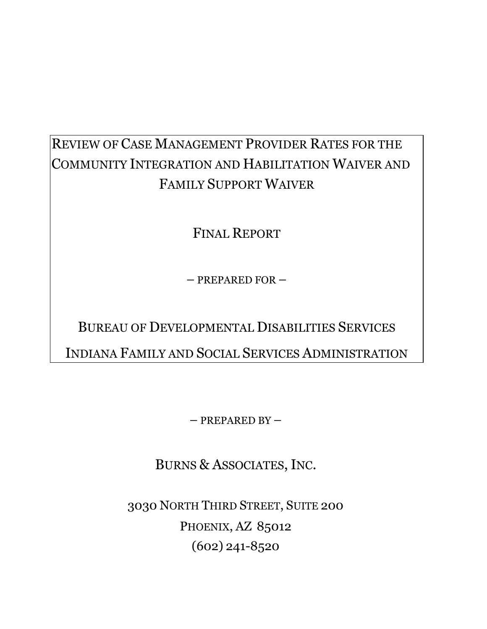# REVIEW OF CASE MANAGEMENT PROVIDER RATES FOR THE COMMUNITY INTEGRATION AND HABILITATION WAIVER AND FAMILY SUPPORT WAIVER

FINAL REPORT

– PREPARED FOR –

# BUREAU OF DEVELOPMENTAL DISABILITIES SERVICES INDIANA FAMILY AND SOCIAL SERVICES ADMINISTRATION

– PREPARED BY –

BURNS & ASSOCIATES, INC.

3030 NORTH THIRD STREET, SUITE 200 PHOENIX, AZ 85012 (602) 241-8520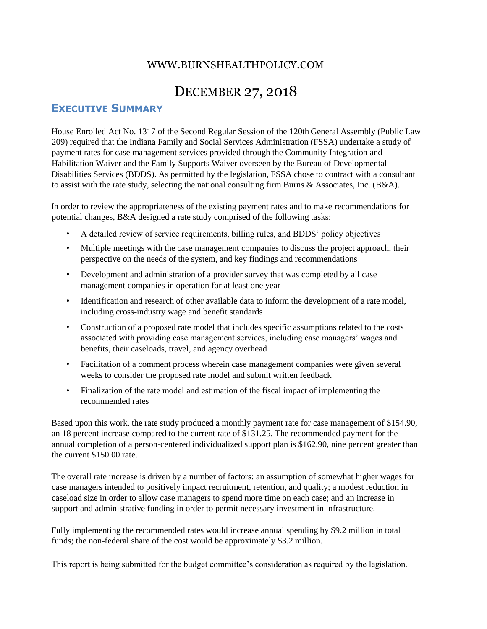# WWW.BURNSHEALTHPOLICY.COM

# DECEMBER 27, 2018

# **EXECUTIVE SUMMARY**

House Enrolled Act No. 1317 of the Second Regular Session of the 120th General Assembly (Public Law 209) required that the Indiana Family and Social Services Administration (FSSA) undertake a study of payment rates for case management services provided through the Community Integration and Habilitation Waiver and the Family Supports Waiver overseen by the Bureau of Developmental Disabilities Services (BDDS). As permitted by the legislation, FSSA chose to contract with a consultant to assist with the rate study, selecting the national consulting firm Burns & Associates, Inc.  $(B&A)$ .

In order to review the appropriateness of the existing payment rates and to make recommendations for potential changes, B&A designed a rate study comprised of the following tasks:

- A detailed review of service requirements, billing rules, and BDDS' policy objectives
- Multiple meetings with the case management companies to discuss the project approach, their perspective on the needs of the system, and key findings and recommendations
- Development and administration of a provider survey that was completed by all case management companies in operation for at least one year
- Identification and research of other available data to inform the development of a rate model, including cross-industry wage and benefit standards
- Construction of a proposed rate model that includes specific assumptions related to the costs associated with providing case management services, including case managers' wages and benefits, their caseloads, travel, and agency overhead
- Facilitation of a comment process wherein case management companies were given several weeks to consider the proposed rate model and submit written feedback
- Finalization of the rate model and estimation of the fiscal impact of implementing the recommended rates

Based upon this work, the rate study produced a monthly payment rate for case management of \$154.90, an 18 percent increase compared to the current rate of \$131.25. The recommended payment for the annual completion of a person-centered individualized support plan is \$162.90, nine percent greater than the current \$150.00 rate.

The overall rate increase is driven by a number of factors: an assumption of somewhat higher wages for case managers intended to positively impact recruitment, retention, and quality; a modest reduction in caseload size in order to allow case managers to spend more time on each case; and an increase in support and administrative funding in order to permit necessary investment in infrastructure.

Fully implementing the recommended rates would increase annual spending by \$9.2 million in total funds; the non-federal share of the cost would be approximately \$3.2 million.

This report is being submitted for the budget committee's consideration as required by the legislation.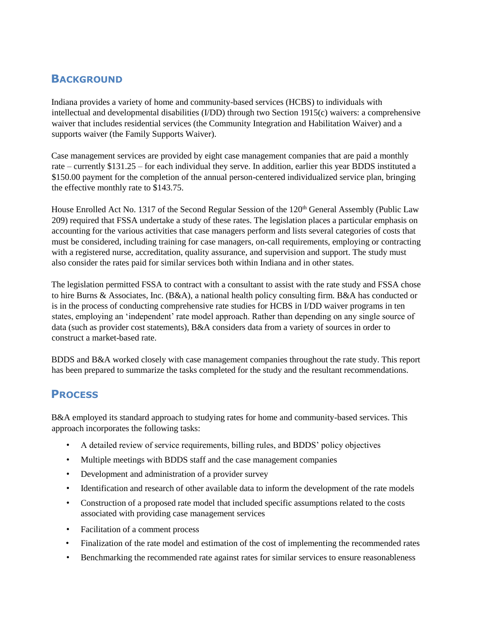# **BACKGROUND**

Indiana provides a variety of home and community-based services (HCBS) to individuals with intellectual and developmental disabilities (I/DD) through two Section 1915(c) waivers: a comprehensive waiver that includes residential services (the Community Integration and Habilitation Waiver) and a supports waiver (the Family Supports Waiver).

Case management services are provided by eight case management companies that are paid a monthly rate – currently \$131.25 – for each individual they serve. In addition, earlier this year BDDS instituted a \$150.00 payment for the completion of the annual person-centered individualized service plan, bringing the effective monthly rate to \$143.75.

House Enrolled Act No. 1317 of the Second Regular Session of the 120<sup>th</sup> General Assembly (Public Law 209) required that FSSA undertake a study of these rates. The legislation places a particular emphasis on accounting for the various activities that case managers perform and lists several categories of costs that must be considered, including training for case managers, on-call requirements, employing or contracting with a registered nurse, accreditation, quality assurance, and supervision and support. The study must also consider the rates paid for similar services both within Indiana and in other states.

The legislation permitted FSSA to contract with a consultant to assist with the rate study and FSSA chose to hire Burns & Associates, Inc. (B&A), a national health policy consulting firm. B&A has conducted or is in the process of conducting comprehensive rate studies for HCBS in I/DD waiver programs in ten states, employing an 'independent' rate model approach. Rather than depending on any single source of data (such as provider cost statements), B&A considers data from a variety of sources in order to construct a market-based rate.

BDDS and B&A worked closely with case management companies throughout the rate study. This report has been prepared to summarize the tasks completed for the study and the resultant recommendations.

# **PROCESS**

B&A employed its standard approach to studying rates for home and community-based services. This approach incorporates the following tasks:

- A detailed review of service requirements, billing rules, and BDDS' policy objectives
- Multiple meetings with BDDS staff and the case management companies
- Development and administration of a provider survey
- Identification and research of other available data to inform the development of the rate models
- Construction of a proposed rate model that included specific assumptions related to the costs associated with providing case management services
- Facilitation of a comment process
- Finalization of the rate model and estimation of the cost of implementing the recommended rates
- Benchmarking the recommended rate against rates for similar services to ensure reasonableness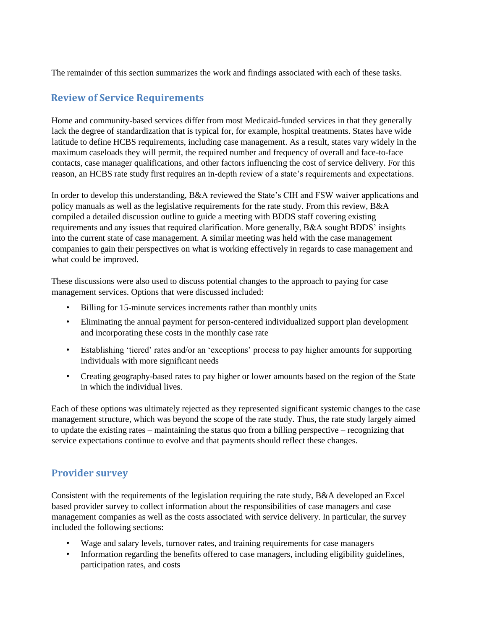The remainder of this section summarizes the work and findings associated with each of these tasks.

#### **Review of Service Requirements**

Home and community-based services differ from most Medicaid-funded services in that they generally lack the degree of standardization that is typical for, for example, hospital treatments. States have wide latitude to define HCBS requirements, including case management. As a result, states vary widely in the maximum caseloads they will permit, the required number and frequency of overall and face-to-face contacts, case manager qualifications, and other factors influencing the cost of service delivery. For this reason, an HCBS rate study first requires an in-depth review of a state's requirements and expectations.

In order to develop this understanding, B&A reviewed the State's CIH and FSW waiver applications and policy manuals as well as the legislative requirements for the rate study. From this review, B&A compiled a detailed discussion outline to guide a meeting with BDDS staff covering existing requirements and any issues that required clarification. More generally, B&A sought BDDS' insights into the current state of case management. A similar meeting was held with the case management companies to gain their perspectives on what is working effectively in regards to case management and what could be improved.

These discussions were also used to discuss potential changes to the approach to paying for case management services. Options that were discussed included:

- Billing for 15-minute services increments rather than monthly units
- Eliminating the annual payment for person-centered individualized support plan development and incorporating these costs in the monthly case rate
- Establishing 'tiered' rates and/or an 'exceptions' process to pay higher amounts for supporting individuals with more significant needs
- Creating geography-based rates to pay higher or lower amounts based on the region of the State in which the individual lives.

Each of these options was ultimately rejected as they represented significant systemic changes to the case management structure, which was beyond the scope of the rate study. Thus, the rate study largely aimed to update the existing rates – maintaining the status quo from a billing perspective – recognizing that service expectations continue to evolve and that payments should reflect these changes.

#### **Provider survey**

Consistent with the requirements of the legislation requiring the rate study, B&A developed an Excel based provider survey to collect information about the responsibilities of case managers and case management companies as well as the costs associated with service delivery. In particular, the survey included the following sections:

- Wage and salary levels, turnover rates, and training requirements for case managers
- Information regarding the benefits offered to case managers, including eligibility guidelines, participation rates, and costs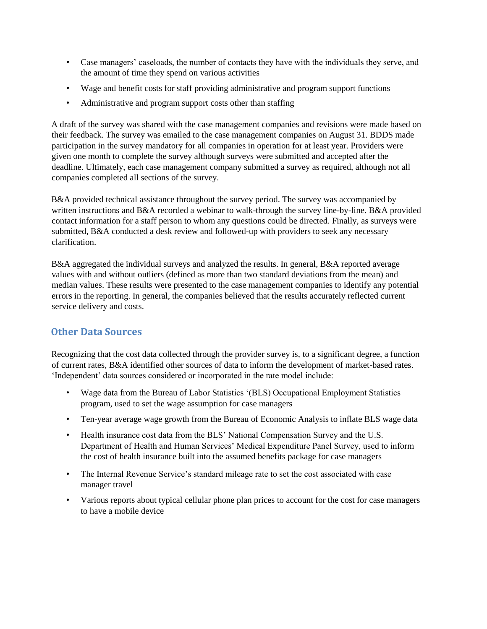- Case managers' caseloads, the number of contacts they have with the individuals they serve, and the amount of time they spend on various activities
- Wage and benefit costs for staff providing administrative and program support functions
- Administrative and program support costs other than staffing

A draft of the survey was shared with the case management companies and revisions were made based on their feedback. The survey was emailed to the case management companies on August 31. BDDS made participation in the survey mandatory for all companies in operation for at least year. Providers were given one month to complete the survey although surveys were submitted and accepted after the deadline. Ultimately, each case management company submitted a survey as required, although not all companies completed all sections of the survey.

B&A provided technical assistance throughout the survey period. The survey was accompanied by written instructions and B&A recorded a webinar to walk-through the survey line-by-line. B&A provided contact information for a staff person to whom any questions could be directed. Finally, as surveys were submitted, B&A conducted a desk review and followed-up with providers to seek any necessary clarification.

B&A aggregated the individual surveys and analyzed the results. In general, B&A reported average values with and without outliers (defined as more than two standard deviations from the mean) and median values. These results were presented to the case management companies to identify any potential errors in the reporting. In general, the companies believed that the results accurately reflected current service delivery and costs.

# **Other Data Sources**

Recognizing that the cost data collected through the provider survey is, to a significant degree, a function of current rates, B&A identified other sources of data to inform the development of market-based rates. 'Independent' data sources considered or incorporated in the rate model include:

- Wage data from the Bureau of Labor Statistics '(BLS) Occupational Employment Statistics program, used to set the wage assumption for case managers
- Ten-year average wage growth from the Bureau of Economic Analysis to inflate BLS wage data
- Health insurance cost data from the BLS' National Compensation Survey and the U.S. Department of Health and Human Services' Medical Expenditure Panel Survey, used to inform the cost of health insurance built into the assumed benefits package for case managers
- The Internal Revenue Service's standard mileage rate to set the cost associated with case manager travel
- Various reports about typical cellular phone plan prices to account for the cost for case managers to have a mobile device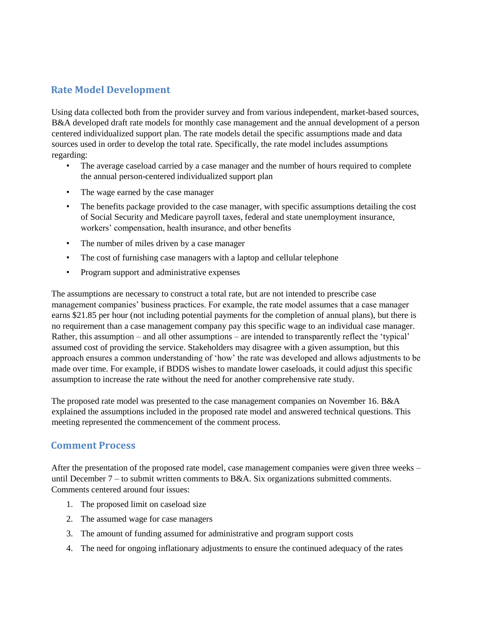#### **Rate Model Development**

Using data collected both from the provider survey and from various independent, market-based sources, B&A developed draft rate models for monthly case management and the annual development of a person centered individualized support plan. The rate models detail the specific assumptions made and data sources used in order to develop the total rate. Specifically, the rate model includes assumptions regarding:

- The average caseload carried by a case manager and the number of hours required to complete the annual person-centered individualized support plan
- The wage earned by the case manager
- The benefits package provided to the case manager, with specific assumptions detailing the cost of Social Security and Medicare payroll taxes, federal and state unemployment insurance, workers' compensation, health insurance, and other benefits
- The number of miles driven by a case manager
- The cost of furnishing case managers with a laptop and cellular telephone
- Program support and administrative expenses

The assumptions are necessary to construct a total rate, but are not intended to prescribe case management companies' business practices. For example, the rate model assumes that a case manager earns \$21.85 per hour (not including potential payments for the completion of annual plans), but there is no requirement than a case management company pay this specific wage to an individual case manager. Rather, this assumption – and all other assumptions – are intended to transparently reflect the 'typical' assumed cost of providing the service. Stakeholders may disagree with a given assumption, but this approach ensures a common understanding of 'how' the rate was developed and allows adjustments to be made over time. For example, if BDDS wishes to mandate lower caseloads, it could adjust this specific assumption to increase the rate without the need for another comprehensive rate study.

The proposed rate model was presented to the case management companies on November 16. B&A explained the assumptions included in the proposed rate model and answered technical questions. This meeting represented the commencement of the comment process.

#### **Comment Process**

After the presentation of the proposed rate model, case management companies were given three weeks – until December 7 – to submit written comments to B&A. Six organizations submitted comments. Comments centered around four issues:

- 1. The proposed limit on caseload size
- 2. The assumed wage for case managers
- 3. The amount of funding assumed for administrative and program support costs
- 4. The need for ongoing inflationary adjustments to ensure the continued adequacy of the rates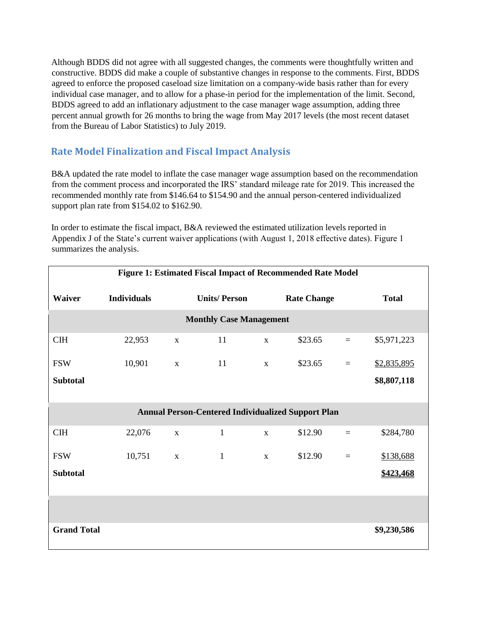Although BDDS did not agree with all suggested changes, the comments were thoughtfully written and constructive. BDDS did make a couple of substantive changes in response to the comments. First, BDDS agreed to enforce the proposed caseload size limitation on a company-wide basis rather than for every individual case manager, and to allow for a phase-in period for the implementation of the limit. Second, BDDS agreed to add an inflationary adjustment to the case manager wage assumption, adding three percent annual growth for 26 months to bring the wage from May 2017 levels (the most recent dataset from the Bureau of Labor Statistics) to July 2019.

# **Rate Model Finalization and Fiscal Impact Analysis**

B&A updated the rate model to inflate the case manager wage assumption based on the recommendation from the comment process and incorporated the IRS' standard mileage rate for 2019. This increased the recommended monthly rate from \$146.64 to \$154.90 and the annual person-centered individualized support plan rate from \$154.02 to \$162.90.

In order to estimate the fiscal impact, B&A reviewed the estimated utilization levels reported in Appendix J of the State's current waiver applications (with August 1, 2018 effective dates). Figure 1 summarizes the analysis.

| <b>Figure 1: Estimated Fiscal Impact of Recommended Rate Model</b> |                    |              |                     |              |                    |          |              |
|--------------------------------------------------------------------|--------------------|--------------|---------------------|--------------|--------------------|----------|--------------|
| <b>Waiver</b>                                                      | <b>Individuals</b> |              | <b>Units/Person</b> |              | <b>Rate Change</b> |          | <b>Total</b> |
| <b>Monthly Case Management</b>                                     |                    |              |                     |              |                    |          |              |
| <b>CIH</b>                                                         | 22,953             | $\mathbf{X}$ | 11                  | $\mathbf{X}$ | \$23.65            | $=$      | \$5,971,223  |
| <b>FSW</b>                                                         | 10,901             | $\mathbf X$  | 11                  | $\mathbf X$  | \$23.65            | $\equiv$ | \$2,835,895  |
| <b>Subtotal</b>                                                    |                    |              |                     |              |                    |          | \$8,807,118  |
| <b>Annual Person-Centered Individualized Support Plan</b>          |                    |              |                     |              |                    |          |              |
| C <sub>IH</sub>                                                    | 22,076             | $\mathbf X$  | $\mathbf{1}$        | $\mathbf{X}$ | \$12.90            | $\equiv$ | \$284,780    |
| <b>FSW</b>                                                         | 10,751             | $\mathbf{X}$ | 1                   | $\mathbf{X}$ | \$12.90            | $\equiv$ | \$138,688    |
| <b>Subtotal</b>                                                    |                    |              |                     |              |                    |          | \$423,468    |
|                                                                    |                    |              |                     |              |                    |          |              |
| <b>Grand Total</b>                                                 |                    |              |                     |              |                    |          | \$9,230,586  |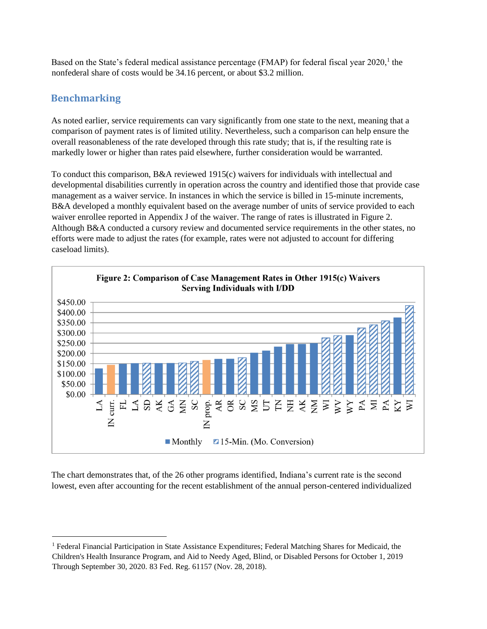Based on the State's federal medical assistance percentage (FMAP) for federal fiscal year 2020,<sup>1</sup> the nonfederal share of costs would be 34.16 percent, or about \$3.2 million.

# **Benchmarking**

As noted earlier, service requirements can vary significantly from one state to the next, meaning that a comparison of payment rates is of limited utility. Nevertheless, such a comparison can help ensure the overall reasonableness of the rate developed through this rate study; that is, if the resulting rate is markedly lower or higher than rates paid elsewhere, further consideration would be warranted.

To conduct this comparison, B&A reviewed 1915(c) waivers for individuals with intellectual and developmental disabilities currently in operation across the country and identified those that provide case management as a waiver service. In instances in which the service is billed in 15-minute increments, B&A developed a monthly equivalent based on the average number of units of service provided to each waiver enrollee reported in Appendix J of the waiver. The range of rates is illustrated in Figure 2. Although B&A conducted a cursory review and documented service requirements in the other states, no efforts were made to adjust the rates (for example, rates were not adjusted to account for differing caseload limits).



The chart demonstrates that, of the 26 other programs identified, Indiana's current rate is the second lowest, even after accounting for the recent establishment of the annual person-centered individualized

<sup>&</sup>lt;sup>1</sup> Federal Financial Participation in State Assistance Expenditures; Federal Matching Shares for Medicaid, the Children's Health Insurance Program, and Aid to Needy Aged, Blind, or Disabled Persons for October 1, 2019 Through September 30, 2020. 83 Fed. Reg. 61157 (Nov. 28, 2018).